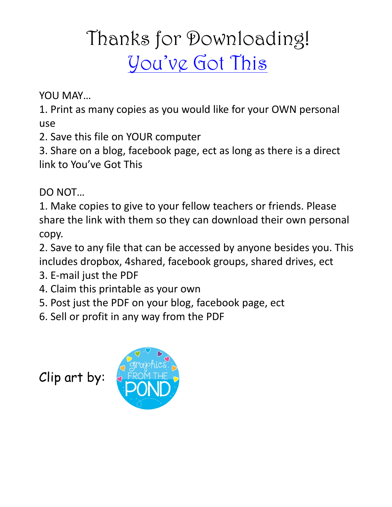## Thanks for Downloading! [You've Got This](https://youvegotthismath.com/)

YOU MAY…

1. Print as many copies as you would like for your OWN personal use

2. Save this file on YOUR computer

3. Share on a blog, facebook page, ect as long as there is a direct link to You've Got This

DO NOT…

1. Make copies to give to your fellow teachers or friends. Please share the link with them so they can download their own personal copy.

2. Save to any file that can be accessed by anyone besides you. This includes dropbox, 4shared, facebook groups, shared drives, ect

- 3. E-mail just the PDF
- 4. Claim this printable as your own
- 5. Post just the PDF on your blog, facebook page, ect
- 6. Sell or profit in any way from the PDF

Clip art by:

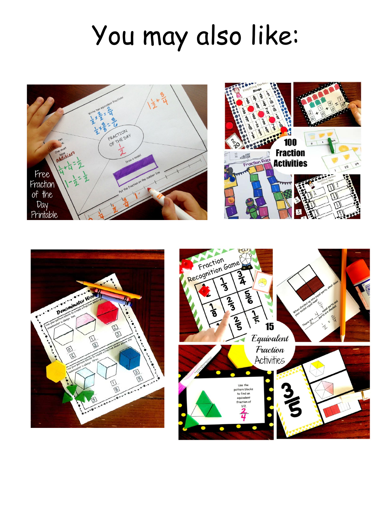## You may also like:





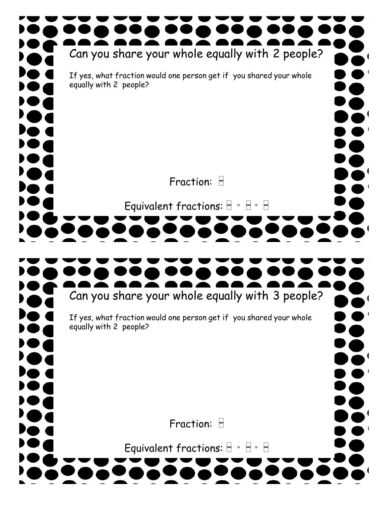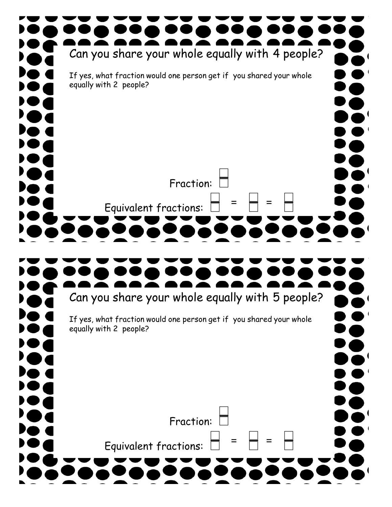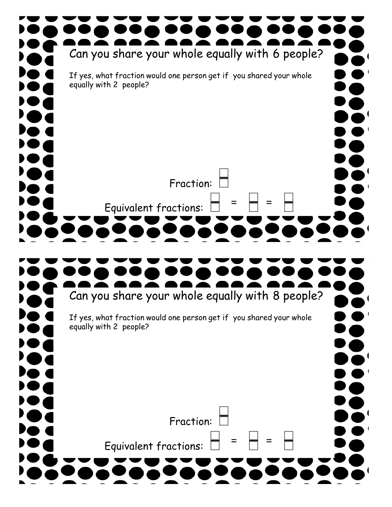